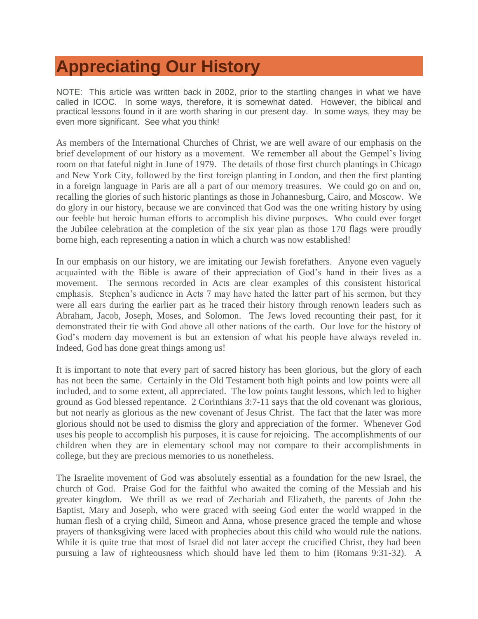## **[Appreciating Our History](http://www.gftm.org/index.php?option=com_content&view=article&id=67:gordon-ferguson--2002&catid=36:articles&Itemid=54)**

NOTE: This article was written back in 2002, prior to the startling changes in what we have called in ICOC. In some ways, therefore, it is somewhat dated. However, the biblical and practical lessons found in it are worth sharing in our present day. In some ways, they may be even more significant. See what you think!

As members of the International Churches of Christ, we are well aware of our emphasis on the brief development of our history as a movement. We remember all about the Gempel's living room on that fateful night in June of 1979. The details of those first church plantings in Chicago and New York City, followed by the first foreign planting in London, and then the first planting in a foreign language in Paris are all a part of our memory treasures. We could go on and on, recalling the glories of such historic plantings as those in Johannesburg, Cairo, and Moscow. We do glory in our history, because we are convinced that God was the one writing history by using our feeble but heroic human efforts to accomplish his divine purposes. Who could ever forget the Jubilee celebration at the completion of the six year plan as those 170 flags were proudly borne high, each representing a nation in which a church was now established!

In our emphasis on our history, we are imitating our Jewish forefathers. Anyone even vaguely acquainted with the Bible is aware of their appreciation of God's hand in their lives as a movement. The sermons recorded in Acts are clear examples of this consistent historical emphasis. Stephen's audience in Acts 7 may have hated the latter part of his sermon, but they were all ears during the earlier part as he traced their history through renown leaders such as Abraham, Jacob, Joseph, Moses, and Solomon. The Jews loved recounting their past, for it demonstrated their tie with God above all other nations of the earth. Our love for the history of God's modern day movement is but an extension of what his people have always reveled in. Indeed, God has done great things among us!

It is important to note that every part of sacred history has been glorious, but the glory of each has not been the same. Certainly in the Old Testament both high points and low points were all included, and to some extent, all appreciated. The low points taught lessons, which led to higher ground as God blessed repentance. 2 Corinthians 3:7-11 says that the old covenant was glorious, but not nearly as glorious as the new covenant of Jesus Christ. The fact that the later was more glorious should not be used to dismiss the glory and appreciation of the former. Whenever God uses his people to accomplish his purposes, it is cause for rejoicing. The accomplishments of our children when they are in elementary school may not compare to their accomplishments in college, but they are precious memories to us nonetheless.

The Israelite movement of God was absolutely essential as a foundation for the new Israel, the church of God. Praise God for the faithful who awaited the coming of the Messiah and his greater kingdom. We thrill as we read of Zechariah and Elizabeth, the parents of John the Baptist, Mary and Joseph, who were graced with seeing God enter the world wrapped in the human flesh of a crying child, Simeon and Anna, whose presence graced the temple and whose prayers of thanksgiving were laced with prophecies about this child who would rule the nations. While it is quite true that most of Israel did not later accept the crucified Christ, they had been pursuing a law of righteousness which should have led them to him (Romans 9:31-32). A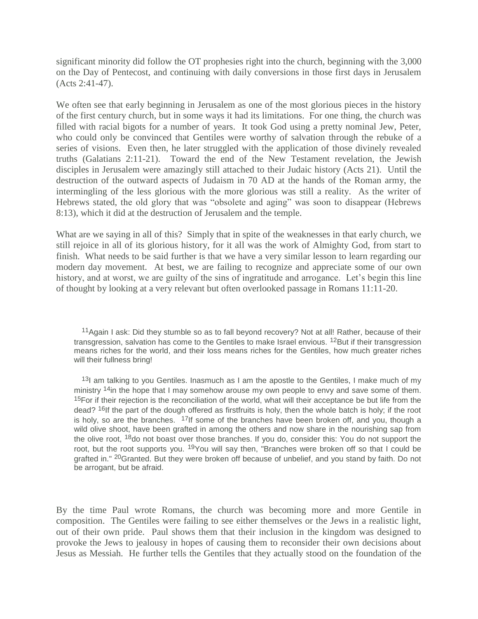significant minority did follow the OT prophesies right into the church, beginning with the 3,000 on the Day of Pentecost, and continuing with daily conversions in those first days in Jerusalem (Acts 2:41-47).

We often see that early beginning in Jerusalem as one of the most glorious pieces in the history of the first century church, but in some ways it had its limitations. For one thing, the church was filled with racial bigots for a number of years. It took God using a pretty nominal Jew, Peter, who could only be convinced that Gentiles were worthy of salvation through the rebuke of a series of visions. Even then, he later struggled with the application of those divinely revealed truths (Galatians 2:11-21). Toward the end of the New Testament revelation, the Jewish disciples in Jerusalem were amazingly still attached to their Judaic history (Acts 21). Until the destruction of the outward aspects of Judaism in 70 AD at the hands of the Roman army, the intermingling of the less glorious with the more glorious was still a reality. As the writer of Hebrews stated, the old glory that was "obsolete and aging" was soon to disappear (Hebrews 8:13), which it did at the destruction of Jerusalem and the temple.

What are we saying in all of this? Simply that in spite of the weaknesses in that early church, we still rejoice in all of its glorious history, for it all was the work of Almighty God, from start to finish. What needs to be said further is that we have a very similar lesson to learn regarding our modern day movement. At best, we are failing to recognize and appreciate some of our own history, and at worst, we are guilty of the sins of ingratitude and arrogance. Let's begin this line of thought by looking at a very relevant but often overlooked passage in Romans 11:11-20.

11Again I ask: Did they stumble so as to fall beyond recovery? Not at all! Rather, because of their transgression, salvation has come to the Gentiles to make Israel envious. <sup>12</sup>But if their transgression means riches for the world, and their loss means riches for the Gentiles, how much greater riches will their fullness bring!

<sup>13</sup>I am talking to you Gentiles. Inasmuch as I am the apostle to the Gentiles, I make much of my ministry <sup>14</sup>in the hope that I may somehow arouse my own people to envy and save some of them. <sup>15</sup>For if their rejection is the reconciliation of the world, what will their acceptance be but life from the dead? <sup>16</sup>If the part of the dough offered as firstfruits is holy, then the whole batch is holy; if the root is holy, so are the branches.  $17$ If some of the branches have been broken off, and you, though a wild olive shoot, have been grafted in among the others and now share in the nourishing sap from the olive root, <sup>18</sup>do not boast over those branches. If you do, consider this: You do not support the root, but the root supports you. <sup>19</sup> You will say then, "Branches were broken off so that I could be grafted in." <sup>20</sup>Granted. But they were broken off because of unbelief, and you stand by faith. Do not be arrogant, but be afraid.

By the time Paul wrote Romans, the church was becoming more and more Gentile in composition. The Gentiles were failing to see either themselves or the Jews in a realistic light, out of their own pride. Paul shows them that their inclusion in the kingdom was designed to provoke the Jews to jealousy in hopes of causing them to reconsider their own decisions about Jesus as Messiah. He further tells the Gentiles that they actually stood on the foundation of the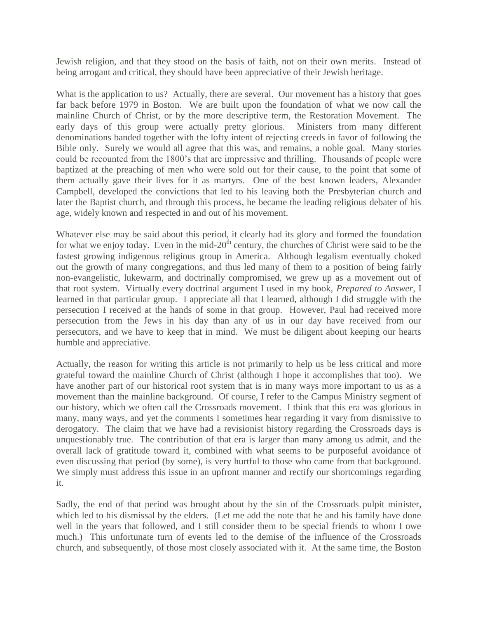Jewish religion, and that they stood on the basis of faith, not on their own merits. Instead of being arrogant and critical, they should have been appreciative of their Jewish heritage.

What is the application to us? Actually, there are several. Our movement has a history that goes far back before 1979 in Boston. We are built upon the foundation of what we now call the mainline Church of Christ, or by the more descriptive term, the Restoration Movement. The early days of this group were actually pretty glorious. Ministers from many different denominations banded together with the lofty intent of rejecting creeds in favor of following the Bible only. Surely we would all agree that this was, and remains, a noble goal. Many stories could be recounted from the 1800's that are impressive and thrilling. Thousands of people were baptized at the preaching of men who were sold out for their cause, to the point that some of them actually gave their lives for it as martyrs. One of the best known leaders, Alexander Campbell, developed the convictions that led to his leaving both the Presbyterian church and later the Baptist church, and through this process, he became the leading religious debater of his age, widely known and respected in and out of his movement.

Whatever else may be said about this period, it clearly had its glory and formed the foundation for what we enjoy today. Even in the mid- $20<sup>th</sup>$  century, the churches of Christ were said to be the fastest growing indigenous religious group in America. Although legalism eventually choked out the growth of many congregations, and thus led many of them to a position of being fairly non-evangelistic, lukewarm, and doctrinally compromised, we grew up as a movement out of that root system. Virtually every doctrinal argument I used in my book, *Prepared to Answer*, I learned in that particular group. I appreciate all that I learned, although I did struggle with the persecution I received at the hands of some in that group. However, Paul had received more persecution from the Jews in his day than any of us in our day have received from our persecutors, and we have to keep that in mind. We must be diligent about keeping our hearts humble and appreciative.

Actually, the reason for writing this article is not primarily to help us be less critical and more grateful toward the mainline Church of Christ (although I hope it accomplishes that too). We have another part of our historical root system that is in many ways more important to us as a movement than the mainline background. Of course, I refer to the Campus Ministry segment of our history, which we often call the Crossroads movement. I think that this era was glorious in many, many ways, and yet the comments I sometimes hear regarding it vary from dismissive to derogatory. The claim that we have had a revisionist history regarding the Crossroads days is unquestionably true. The contribution of that era is larger than many among us admit, and the overall lack of gratitude toward it, combined with what seems to be purposeful avoidance of even discussing that period (by some), is very hurtful to those who came from that background. We simply must address this issue in an upfront manner and rectify our shortcomings regarding it.

Sadly, the end of that period was brought about by the sin of the Crossroads pulpit minister, which led to his dismissal by the elders. (Let me add the note that he and his family have done well in the years that followed, and I still consider them to be special friends to whom I owe much.) This unfortunate turn of events led to the demise of the influence of the Crossroads church, and subsequently, of those most closely associated with it. At the same time, the Boston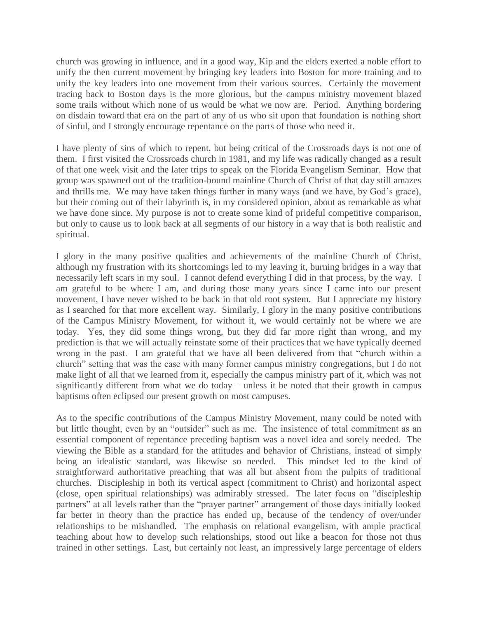church was growing in influence, and in a good way, Kip and the elders exerted a noble effort to unify the then current movement by bringing key leaders into Boston for more training and to unify the key leaders into one movement from their various sources. Certainly the movement tracing back to Boston days is the more glorious, but the campus ministry movement blazed some trails without which none of us would be what we now are. Period. Anything bordering on disdain toward that era on the part of any of us who sit upon that foundation is nothing short of sinful, and I strongly encourage repentance on the parts of those who need it.

I have plenty of sins of which to repent, but being critical of the Crossroads days is not one of them. I first visited the Crossroads church in 1981, and my life was radically changed as a result of that one week visit and the later trips to speak on the Florida Evangelism Seminar. How that group was spawned out of the tradition-bound mainline Church of Christ of that day still amazes and thrills me. We may have taken things further in many ways (and we have, by God's grace), but their coming out of their labyrinth is, in my considered opinion, about as remarkable as what we have done since. My purpose is not to create some kind of prideful competitive comparison, but only to cause us to look back at all segments of our history in a way that is both realistic and spiritual.

I glory in the many positive qualities and achievements of the mainline Church of Christ, although my frustration with its shortcomings led to my leaving it, burning bridges in a way that necessarily left scars in my soul. I cannot defend everything I did in that process, by the way. I am grateful to be where I am, and during those many years since I came into our present movement, I have never wished to be back in that old root system. But I appreciate my history as I searched for that more excellent way. Similarly, I glory in the many positive contributions of the Campus Ministry Movement, for without it, we would certainly not be where we are today. Yes, they did some things wrong, but they did far more right than wrong, and my prediction is that we will actually reinstate some of their practices that we have typically deemed wrong in the past. I am grateful that we have all been delivered from that "church within a church" setting that was the case with many former campus ministry congregations, but I do not make light of all that we learned from it, especially the campus ministry part of it, which was not significantly different from what we do today – unless it be noted that their growth in campus baptisms often eclipsed our present growth on most campuses.

As to the specific contributions of the Campus Ministry Movement, many could be noted with but little thought, even by an "outsider" such as me. The insistence of total commitment as an essential component of repentance preceding baptism was a novel idea and sorely needed. The viewing the Bible as a standard for the attitudes and behavior of Christians, instead of simply being an idealistic standard, was likewise so needed. This mindset led to the kind of straightforward authoritative preaching that was all but absent from the pulpits of traditional churches. Discipleship in both its vertical aspect (commitment to Christ) and horizontal aspect (close, open spiritual relationships) was admirably stressed. The later focus on "discipleship" partners" at all levels rather than the "prayer partner" arrangement of those days initially looked far better in theory than the practice has ended up, because of the tendency of over/under relationships to be mishandled. The emphasis on relational evangelism, with ample practical teaching about how to develop such relationships, stood out like a beacon for those not thus trained in other settings. Last, but certainly not least, an impressively large percentage of elders